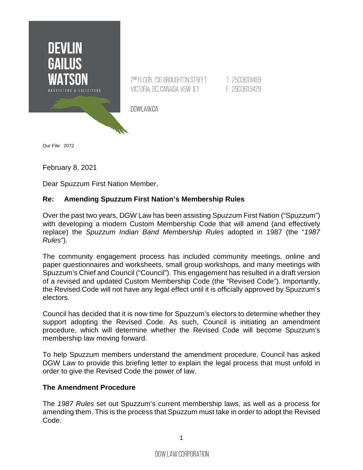

Our File: 2072

February 8, 2021

Dear Spuzzum First Nation Member,

## **Re: Amending Spuzzum First Nation's Membership Rules**

Over the past two years, DGW Law has been assisting Spuzzum First Nation ("Spuzzum") with developing a modern Custom Membership Code that will amend (and effectively replace) the *Spuzzum Indian Band Membership Rules* adopted in 1987 (the "*1987 Rules*").

The community engagement process has included community meetings, online and paper questionnaires and worksheets, small group workshops, and many meetings with Spuzzum's Chief and Council ("Council"). This engagement has resulted in a draft version of a revised and updated Custom Membership Code (the "Revised Code"). Importantly, the Revised Code will not have any legal effect until it is officially approved by Spuzzum's electors.

Council has decided that it is now time for Spuzzum's electors to determine whether they support adopting the Revised Code. As such, Council is initiating an amendment procedure, which will determine whether the Revised Code will become Spuzzum's membership law moving forward.

To help Spuzzum members understand the amendment procedure, Council has asked DGW Law to provide this briefing letter to explain the legal process that must unfold in order to give the Revised Code the power of law.

#### **The Amendment Procedure**

The *1987 Rules* set out Spuzzum's current membership laws, as well as a process for amending them. This is the process that Spuzzum must take in order to adopt the Revised Code.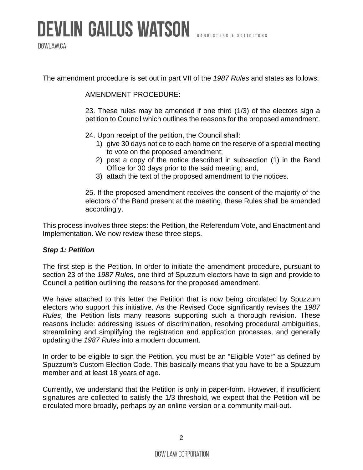# **DEVLIN GAILUS WATSON**

DGWLAW.CA

The amendment procedure is set out in part VII of the *1987 Rules* and states as follows:

AMENDMENT PROCEDURE:

23. These rules may be amended if one third (1/3) of the electors sign a petition to Council which outlines the reasons for the proposed amendment.

24. Upon receipt of the petition, the Council shall:

- 1) give 30 days notice to each home on the reserve of a special meeting to vote on the proposed amendment;
- 2) post a copy of the notice described in subsection (1) in the Band Office for 30 days prior to the said meeting; and,
- 3) attach the text of the proposed amendment to the notices.

25. If the proposed amendment receives the consent of the majority of the electors of the Band present at the meeting, these Rules shall be amended accordingly.

This process involves three steps: the Petition, the Referendum Vote, and Enactment and Implementation. We now review these three steps.

## *Step 1: Petition*

The first step is the Petition. In order to initiate the amendment procedure, pursuant to section 23 of the *1987 Rules*, one third of Spuzzum electors have to sign and provide to Council a petition outlining the reasons for the proposed amendment.

We have attached to this letter the Petition that is now being circulated by Spuzzum electors who support this initiative. As the Revised Code significantly revises the *1987 Rules*, the Petition lists many reasons supporting such a thorough revision. These reasons include: addressing issues of discrimination, resolving procedural ambiguities, streamlining and simplifying the registration and application processes, and generally updating the *1987 Rules* into a modern document.

In order to be eligible to sign the Petition, you must be an "Eligible Voter" as defined by Spuzzum's Custom Election Code. This basically means that you have to be a Spuzzum member and at least 18 years of age.

Currently, we understand that the Petition is only in paper-form. However, if insufficient signatures are collected to satisfy the 1/3 threshold, we expect that the Petition will be circulated more broadly, perhaps by an online version or a community mail-out.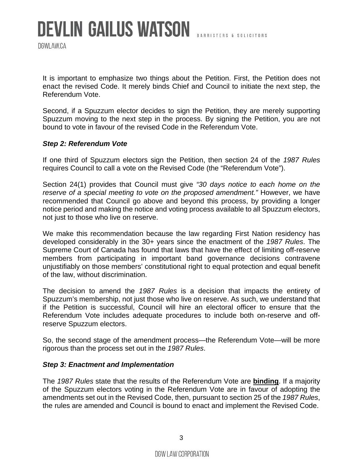DGWLAW.CA

It is important to emphasize two things about the Petition. First, the Petition does not enact the revised Code. It merely binds Chief and Council to initiate the next step, the Referendum Vote.

Second, if a Spuzzum elector decides to sign the Petition, they are merely supporting Spuzzum moving to the next step in the process. By signing the Petition, you are not bound to vote in favour of the revised Code in the Referendum Vote.

## *Step 2: Referendum Vote*

If one third of Spuzzum electors sign the Petition, then section 24 of the *1987 Rules* requires Council to call a vote on the Revised Code (the "Referendum Vote").

Section 24(1) provides that Council must give *"30 days notice to each home on the reserve of a special meeting to vote on the proposed amendment."* However, we have recommended that Council go above and beyond this process, by providing a longer notice period and making the notice and voting process available to all Spuzzum electors, not just to those who live on reserve.

We make this recommendation because the law regarding First Nation residency has developed considerably in the 30+ years since the enactment of the *1987 Rules*. The Supreme Court of Canada has found that laws that have the effect of limiting off-reserve members from participating in important band governance decisions contravene unjustifiably on those members' constitutional right to equal protection and equal benefit of the law, without discrimination.

The decision to amend the *1987 Rules* is a decision that impacts the entirety of Spuzzum's membership, not just those who live on reserve. As such, we understand that if the Petition is successful, Council will hire an electoral officer to ensure that the Referendum Vote includes adequate procedures to include both on-reserve and offreserve Spuzzum electors.

So, the second stage of the amendment process—the Referendum Vote—will be more rigorous than the process set out in the *1987 Rules*.

#### *Step 3: Enactment and Implementation*

The *1987 Rules* state that the results of the Referendum Vote are **binding**. If a majority of the Spuzzum electors voting in the Referendum Vote are in favour of adopting the amendments set out in the Revised Code, then, pursuant to section 25 of the *1987 Rules*, the rules are amended and Council is bound to enact and implement the Revised Code.